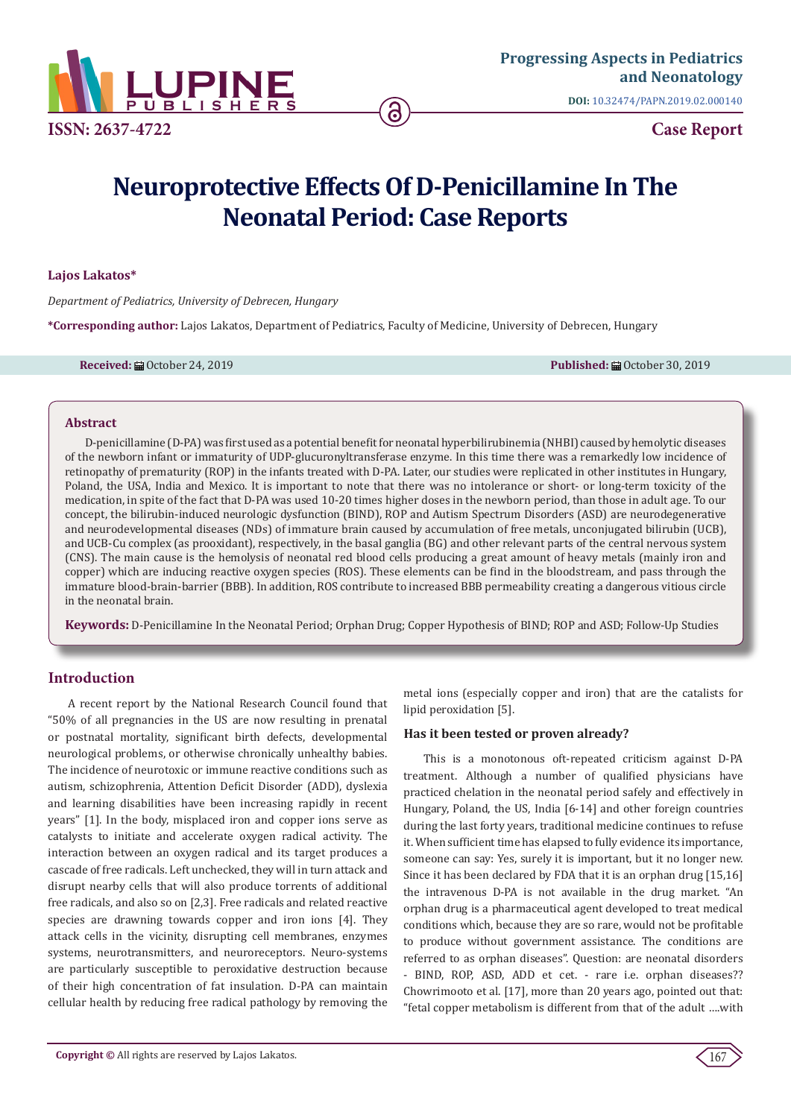

**DOI:** [10.32474/PAPN.2019.02.000140](http://dx.doi.org/10.32474/PAPN.2019.02.000140)

# **Neuroprotective Effects Of D-Penicillamine In The Neonatal Period: Case Reports**

#### **Lajos Lakatos\***

*Department of Pediatrics, University of Debrecen, Hungary*

**\*Corresponding author:** Lajos Lakatos, Department of Pediatrics, Faculty of Medicine, University of Debrecen, Hungary

**Received:** October 24, 2019 **Published:** October 30, 2019

#### **Abstract**

D-penicillamine (D-PA) was first used as a potential benefit for neonatal hyperbilirubinemia (NHBI) caused by hemolytic diseases of the newborn infant or immaturity of UDP-glucuronyltransferase enzyme. In this time there was a remarkedly low incidence of retinopathy of prematurity (ROP) in the infants treated with D-PA. Later, our studies were replicated in other institutes in Hungary, Poland, the USA, India and Mexico. It is important to note that there was no intolerance or short- or long-term toxicity of the medication, in spite of the fact that D-PA was used 10-20 times higher doses in the newborn period, than those in adult age. To our concept, the bilirubin-induced neurologic dysfunction (BIND), ROP and Autism Spectrum Disorders (ASD) are neurodegenerative and neurodevelopmental diseases (NDs) of immature brain caused by accumulation of free metals, unconjugated bilirubin (UCB), and UCB-Cu complex (as prooxidant), respectively, in the basal ganglia (BG) and other relevant parts of the central nervous system (CNS). The main cause is the hemolysis of neonatal red blood cells producing a great amount of heavy metals (mainly iron and copper) which are inducing reactive oxygen species (ROS). These elements can be find in the bloodstream, and pass through the immature blood-brain-barrier (BBB). In addition, ROS contribute to increased BBB permeability creating a dangerous vitious circle in the neonatal brain.

**Keywords:** D-Penicillamine In the Neonatal Period; Orphan Drug; Copper Hypothesis of BIND; ROP and ASD; Follow-Up Studies

# **Introduction**

A recent report by the National Research Council found that "50% of all pregnancies in the US are now resulting in prenatal or postnatal mortality, significant birth defects, developmental neurological problems, or otherwise chronically unhealthy babies. The incidence of neurotoxic or immune reactive conditions such as autism, schizophrenia, Attention Deficit Disorder (ADD), dyslexia and learning disabilities have been increasing rapidly in recent years" [1]. In the body, misplaced iron and copper ions serve as catalysts to initiate and accelerate oxygen radical activity. The interaction between an oxygen radical and its target produces a cascade of free radicals. Left unchecked, they will in turn attack and disrupt nearby cells that will also produce torrents of additional free radicals, and also so on [2,3]. Free radicals and related reactive species are drawning towards copper and iron ions [4]. They attack cells in the vicinity, disrupting cell membranes, enzymes systems, neurotransmitters, and neuroreceptors. Neuro-systems are particularly susceptible to peroxidative destruction because of their high concentration of fat insulation. D-PA can maintain cellular health by reducing free radical pathology by removing the

metal ions (especially copper and iron) that are the catalists for lipid peroxidation [5].

#### **Has it been tested or proven already?**

This is a monotonous oft-repeated criticism against D-PA treatment. Although a number of qualified physicians have practiced chelation in the neonatal period safely and effectively in Hungary, Poland, the US, India [6-14] and other foreign countries during the last forty years, traditional medicine continues to refuse it. When sufficient time has elapsed to fully evidence its importance, someone can say: Yes, surely it is important, but it no longer new. Since it has been declared by FDA that it is an orphan drug [15,16] the intravenous D-PA is not available in the drug market. "An orphan drug is a pharmaceutical agent developed to treat medical conditions which, because they are so rare, would not be profitable to produce without government assistance. The conditions are referred to as orphan diseases". Question: are neonatal disorders - BIND, ROP, ASD, ADD et cet. - rare i.e. orphan diseases?? Chowrimooto et al. [17], more than 20 years ago, pointed out that: "fetal copper metabolism is different from that of the adult ….with

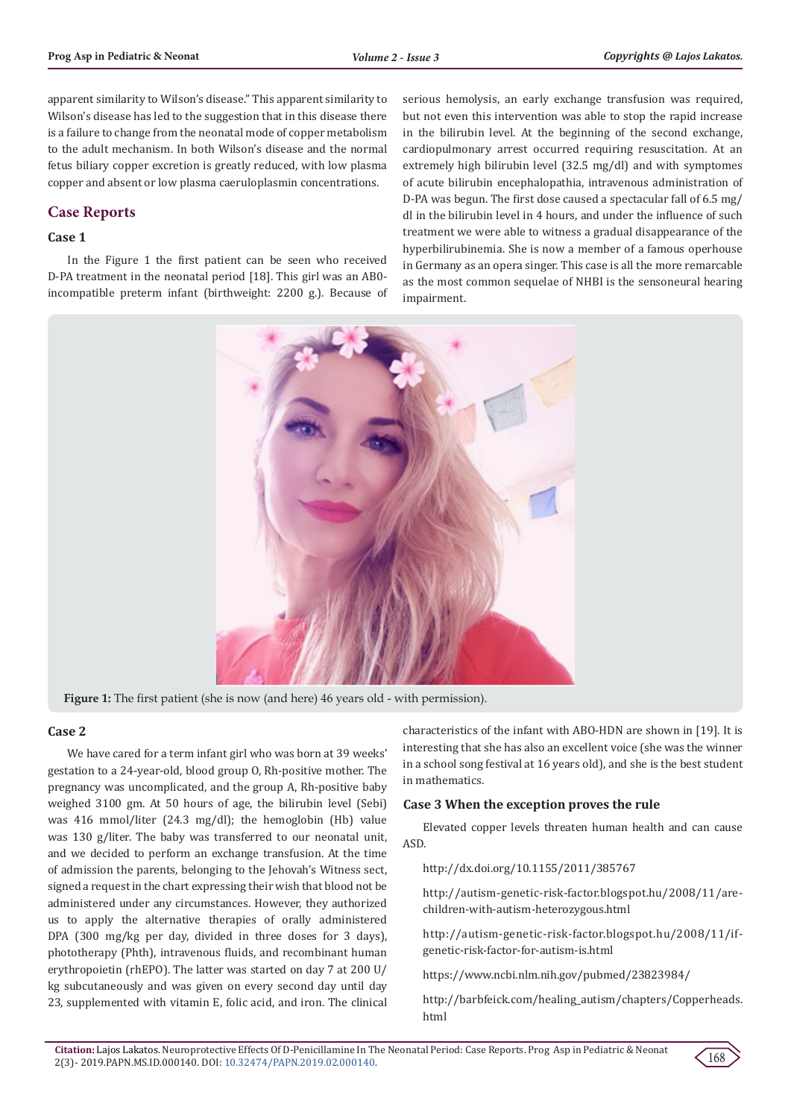apparent similarity to Wilson's disease." This apparent similarity to Wilson's disease has led to the suggestion that in this disease there is a failure to change from the neonatal mode of copper metabolism to the adult mechanism. In both Wilson's disease and the normal fetus biliary copper excretion is greatly reduced, with low plasma copper and absent or low plasma caeruloplasmin concentrations.

# **Case Reports**

#### **Case 1**

In the Figure 1 the first patient can be seen who received D-PA treatment in the neonatal period [18]. This girl was an AB0 incompatible preterm infant (birthweight: 2200 g.). Because of serious hemolysis, an early exchange transfusion was required, but not even this intervention was able to stop the rapid increase in the bilirubin level. At the beginning of the second exchange, cardiopulmonary arrest occurred requiring resuscitation. At an extremely high bilirubin level (32.5 mg/dl) and with symptomes of acute bilirubin encephalopathia, intravenous administration of D-PA was begun. The first dose caused a spectacular fall of 6.5 mg/ dl in the bilirubin level in 4 hours, and under the influence of such treatment we were able to witness a gradual disappearance of the hyperbilirubinemia. She is now a member of a famous operhouse in Germany as an opera singer. This case is all the more remarcable as the most common sequelae of NHBI is the sensoneural hearing impairment.



**Figure 1:** The first patient (she is now (and here) 46 years old - with permission).

#### **Case 2**

We have cared for a term infant girl who was born at 39 weeks' gestation to a 24-year-old, blood group O, Rh-positive mother. The pregnancy was uncomplicated, and the group A, Rh-positive baby weighed 3100 gm. At 50 hours of age, the bilirubin level (Sebi) was 416 mmol/liter (24.3 mg/dl); the hemoglobin (Hb) value was 130 g/liter. The baby was transferred to our neonatal unit, and we decided to perform an exchange transfusion. At the time of admission the parents, belonging to the Jehovah's Witness sect, signed a request in the chart expressing their wish that blood not be administered under any circumstances. However, they authorized us to apply the alternative therapies of orally administered DPA (300 mg/kg per day, divided in three doses for 3 days), phototherapy (Phth), intravenous fluids, and recombinant human erythropoietin (rhEPO). The latter was started on day 7 at 200 U/ kg subcutaneously and was given on every second day until day 23, supplemented with vitamin E, folic acid, and iron. The clinical

characteristics of the infant with ABO-HDN are shown in [19]. It is interesting that she has also an excellent voice (she was the winner in a school song festival at 16 years old), and she is the best student in mathematics.

#### **Case 3 When the exception proves the rule**

Elevated copper levels threaten human health and can cause ASD.

http://dx.doi.org/10.1155/2011/385767

http://autism-genetic-risk-factor.blogspot.hu/2008/11/arechildren-with-autism-heterozygous.html

http://autism-genetic-risk-factor.blogspot.hu/2008/11/ifgenetic-risk-factor-for-autism-is.html

https://www.ncbi.nlm.nih.gov/pubmed/23823984/

http://barbfeick.com/healing\_autism/chapters/Copperheads. html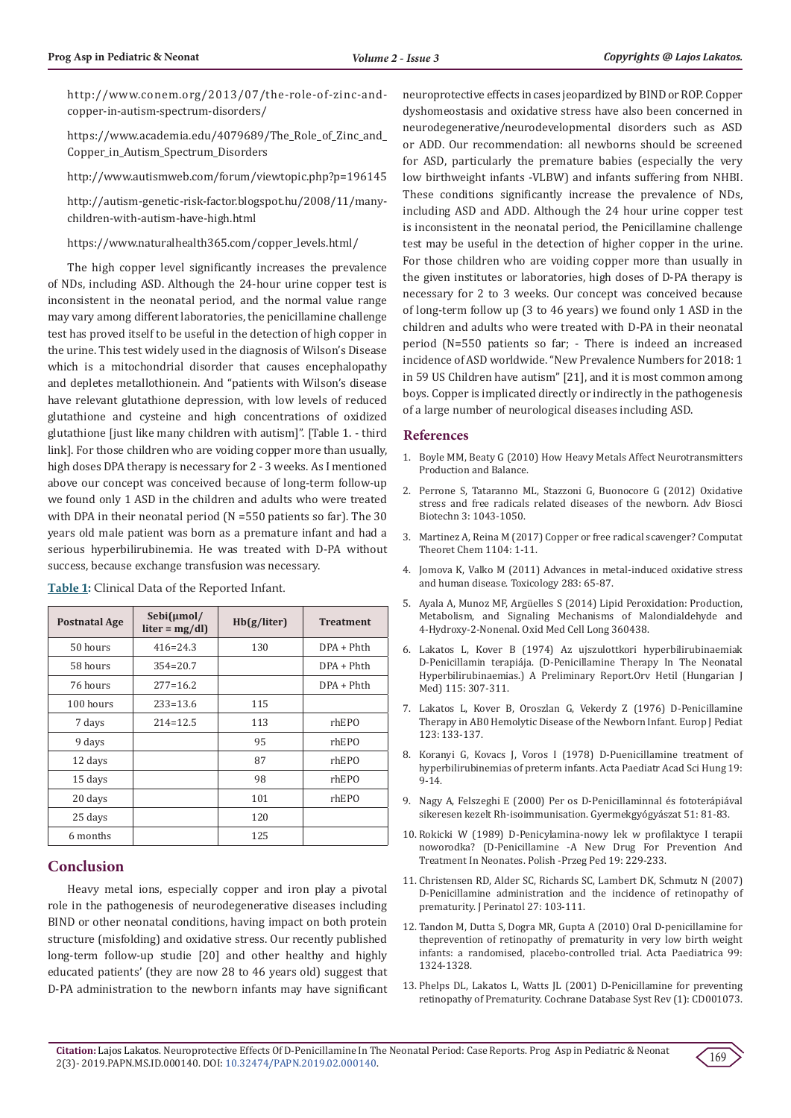http://www.conem.org/2013/07/the-role-of-zinc-andcopper-in-autism-spectrum-disorders/

https://www.academia.edu/4079689/The\_Role\_of\_Zinc\_and\_ Copper\_in\_Autism\_Spectrum\_Disorders

http://www.autismweb.com/forum/viewtopic.php?p=196145

http://autism-genetic-risk-factor.blogspot.hu/2008/11/manychildren-with-autism-have-high.html

https://www.naturalhealth365.com/copper\_levels.html/

The high copper level significantly increases the prevalence of NDs, including ASD. Although the 24-hour urine copper test is inconsistent in the neonatal period, and the normal value range may vary among different laboratories, the penicillamine challenge test has proved itself to be useful in the detection of high copper in the urine. This test widely used in the diagnosis of Wilson's Disease which is a mitochondrial disorder that causes encephalopathy and depletes metallothionein. And "patients with Wilson's disease have relevant glutathione depression, with low levels of reduced glutathione and cysteine and high concentrations of oxidized glutathione [just like many children with autism]". [Table 1. - third link]. For those children who are voiding copper more than usually, high doses DPA therapy is necessary for 2 - 3 weeks. As I mentioned above our concept was conceived because of long-term follow-up we found only 1 ASD in the children and adults who were treated with DPA in their neonatal period (N =550 patients so far). The 30 years old male patient was born as a premature infant and had a serious hyperbilirubinemia. He was treated with D-PA without success, because exchange transfusion was necessary.

| <b>Postnatal Age</b> | $Sebi(\mu mol/$<br>$liter = mg/dl$ | Hb(g/liter) | <b>Treatment</b> |
|----------------------|------------------------------------|-------------|------------------|
| 50 hours             | $416 = 24.3$                       | 130         | $DPA + Phth$     |
| 58 hours             | $354 = 20.7$                       |             | $DPA + Phth$     |
| 76 hours             | $277 = 16.2$                       |             | $DPA + Phth$     |
| 100 hours            | $233 = 13.6$                       | 115         |                  |
| 7 days               | $214 = 12.5$                       | 113         | rhEPO            |
| 9 days               |                                    | 95          | rhEPO            |
| 12 days              |                                    | 87          | rhEPO            |
| 15 days              |                                    | 98          | rhEPO            |
| 20 days              |                                    | 101         | rhEPO            |
| 25 days              |                                    | 120         |                  |
| 6 months             |                                    | 125         |                  |

**Table 1:** Clinical Data of the Reported Infant.

# **Conclusion**

Heavy metal ions, especially copper and iron play a pivotal role in the pathogenesis of neurodegenerative diseases including BIND or other neonatal conditions, having impact on both protein structure (misfolding) and oxidative stress. Our recently published long-term follow-up studie [20] and other healthy and highly educated patients' (they are now 28 to 46 years old) suggest that D-PA administration to the newborn infants may have significant neuroprotective effects in cases jeopardized by BIND or ROP. Copper dyshomeostasis and oxidative stress have also been concerned in neurodegenerative/neurodevelopmental disorders such as ASD or ADD. Our recommendation: all newborns should be screened for ASD, particularly the premature babies (especially the very low birthweight infants -VLBW) and infants suffering from NHBI. These conditions significantly increase the prevalence of NDs, including ASD and ADD. Although the 24 hour urine copper test is inconsistent in the neonatal period, the Penicillamine challenge test may be useful in the detection of higher copper in the urine. For those children who are voiding copper more than usually in the given institutes or laboratories, high doses of D-PA therapy is necessary for 2 to 3 weeks. Our concept was conceived because of long-term follow up (3 to 46 years) we found only 1 ASD in the children and adults who were treated with D-PA in their neonatal period (N=550 patients so far; - There is indeed an increased incidence of ASD worldwide. "New Prevalence Numbers for 2018: 1 in 59 US Children have autism" [21], and it is most common among boys. Copper is implicated directly or indirectly in the pathogenesis of a large number of neurological diseases including ASD.

#### **References**

- 1. [Boyle MM, Beaty G \(2010\) How Heavy Metals Affect Neurotransmitters](http://www.positivehealth.com/article/environmental/how-heavy-metals-affect-neurotransmitters-production-and-balance) [Production and Balance.](http://www.positivehealth.com/article/environmental/how-heavy-metals-affect-neurotransmitters-production-and-balance)
- 2. [Perrone S, Tataranno ML, Stazzoni G, Buonocore G \(2012\) Oxidative](https://www.researchgate.net/publication/273751854_Oxidative_stress_and_free_radicals_related_diseases_of_the_newborn) [stress and free radicals related diseases of the newborn. Adv Biosci](https://www.researchgate.net/publication/273751854_Oxidative_stress_and_free_radicals_related_diseases_of_the_newborn) [Biotechn 3: 1043-1050.](https://www.researchgate.net/publication/273751854_Oxidative_stress_and_free_radicals_related_diseases_of_the_newborn)
- 3. [Martinez A, Reina M \(2017\) Copper or free radical scavenger? Computat](https://www.researchgate.net/publication/313283556_Copper_or_Free_Radical_Scavenger) [Theoret Chem 1104: 1-11.](https://www.researchgate.net/publication/313283556_Copper_or_Free_Radical_Scavenger)
- 4. [Jomova K, Valko M \(2011\) Advances in metal-induced oxidative stress](https://www.ncbi.nlm.nih.gov/pubmed/21414382) [and human disease. Toxicology 283: 65-87.](https://www.ncbi.nlm.nih.gov/pubmed/21414382)
- 5. Ayala A, Munoz MF, Arg[üelles S \(2014\) Lipid Peroxidation: Production,](https://www.ncbi.nlm.nih.gov/pubmed/24999379) [Metabolism, and Signaling Mechanisms of Malondialdehyde and](https://www.ncbi.nlm.nih.gov/pubmed/24999379) [4-Hydroxy-2-Nonenal. Oxid Med Cell Long 360438.](https://www.ncbi.nlm.nih.gov/pubmed/24999379)
- 6. Lakatos L, Kover B (1974) Az ujszulottkori hyperbilirubinaemiak D-Penicillamin terapiája. (D-Penicillamine Therapy In The Neonatal Hyperbilirubinaemias.) A Preliminary Report.Orv Hetil (Hungarian J Med) 115: 307-311.
- 7. Lakatos L, Kover B, Oroszlan G, Vekerdy Z (1976) D-Penicillamine Therapy in AB0 Hemolytic Disease of the Newborn Infant. Europ J Pediat 123: 133-137.
- 8. Koranyi G, Kovacs J, Voros I (1978) D-Puenicillamine treatment of hyperbilirubinemias of preterm infants. Acta Paediatr Acad Sci Hung 19: 9-14.
- 9. Nagy A, Felszeghi E (2000) Per os D-Penicillaminnal és fototerápiával sikeresen kezelt Rh-isoimmunisation. Gyermekgyógyászat 51: 81-83.
- 10. Rokicki W (1989) D-Penicylamina-nowy lek w profilaktyce I terapii noworodka? (D-Penicillamine -A New Drug For Prevention And Treatment In Neonates. Polish -Przeg Ped 19: 229-233.
- 11. [Christensen RD, Alder SC, Richards SC, Lambert DK, Schmutz N \(2007\)](https://www.ncbi.nlm.nih.gov/pubmed/17262043) [D-Penicillamine administration and the incidence of retinopathy of](https://www.ncbi.nlm.nih.gov/pubmed/17262043) [prematurity. J Perinatol 27: 103-111.](https://www.ncbi.nlm.nih.gov/pubmed/17262043)
- 12. [Tandon M, Dutta S, Dogra MR, Gupta A \(2010\) Oral D-penicillamine for](https://www.ncbi.nlm.nih.gov/pubmed/20412107) [theprevention of retinopathy of prematurity in very low birth weight](https://www.ncbi.nlm.nih.gov/pubmed/20412107) [infants: a randomised, placebo-controlled trial. Acta Paediatrica 99:](https://www.ncbi.nlm.nih.gov/pubmed/20412107) [1324-1328.](https://www.ncbi.nlm.nih.gov/pubmed/20412107)
- 13. [Phelps DL, Lakatos L, Watts JL \(2001\) D-Penicillamine for preventing](https://www.ncbi.nlm.nih.gov/pubmed/11279704) [retinopathy of Prematurity. Cochrane Database Syst Rev \(1\): CD001073.](https://www.ncbi.nlm.nih.gov/pubmed/11279704)